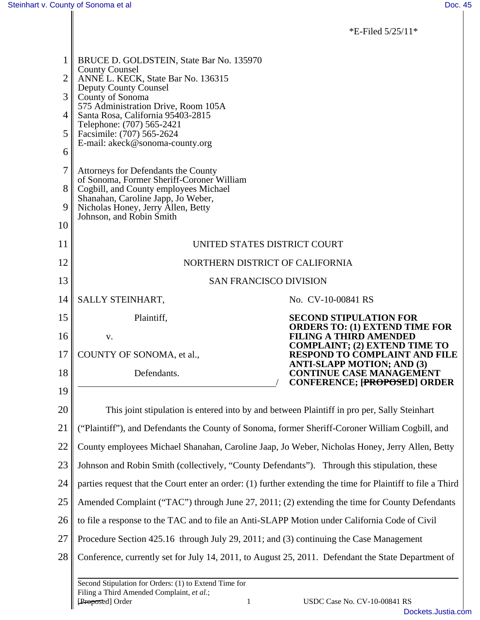\*E-Filed 5/25/11\*

|    | BRUCE D. GOLDSTEIN, State Bar No. 135970<br><b>County Counsel</b>                                                                  |                                                                                                             |  |  |  |  |  |
|----|------------------------------------------------------------------------------------------------------------------------------------|-------------------------------------------------------------------------------------------------------------|--|--|--|--|--|
| 2  | ANNE L. KECK, State Bar No. 136315                                                                                                 |                                                                                                             |  |  |  |  |  |
| 3  | <b>Deputy County Counsel</b><br>County of Sonoma                                                                                   |                                                                                                             |  |  |  |  |  |
| 4  | 575 Administration Drive, Room 105A<br>Santa Rosa, California 95403-2815<br>Telephone: (707) 565-2421<br>Facsimile: (707) 565-2624 |                                                                                                             |  |  |  |  |  |
| 5  |                                                                                                                                    |                                                                                                             |  |  |  |  |  |
| 6  | E-mail: akeck@sonoma-county.org                                                                                                    |                                                                                                             |  |  |  |  |  |
| 7  |                                                                                                                                    |                                                                                                             |  |  |  |  |  |
|    | Attorneys for Defendants the County<br>of Sonoma, Former Sheriff-Coroner William                                                   |                                                                                                             |  |  |  |  |  |
| 8  | Cogbill, and County employees Michael<br>Shanahan, Caroline Japp, Jo Weber,                                                        |                                                                                                             |  |  |  |  |  |
| 9  | Nicholas Honey, Jerry Allen, Betty<br>Johnson, and Robin Smith                                                                     |                                                                                                             |  |  |  |  |  |
| 10 |                                                                                                                                    |                                                                                                             |  |  |  |  |  |
| 11 | UNITED STATES DISTRICT COURT                                                                                                       |                                                                                                             |  |  |  |  |  |
| 12 | NORTHERN DISTRICT OF CALIFORNIA                                                                                                    |                                                                                                             |  |  |  |  |  |
| 13 | <b>SAN FRANCISCO DIVISION</b>                                                                                                      |                                                                                                             |  |  |  |  |  |
| 14 | SALLY STEINHART,                                                                                                                   | No. CV-10-00841 RS                                                                                          |  |  |  |  |  |
| 15 | Plaintiff,                                                                                                                         | <b>SECOND STIPULATION FOR</b><br><b>ORDERS TO: (1) EXTEND TIME FOR</b>                                      |  |  |  |  |  |
| 16 | V.                                                                                                                                 | <b>FILING A THIRD AMENDED</b>                                                                               |  |  |  |  |  |
| 17 | COUNTY OF SONOMA, et al.,                                                                                                          | <b>COMPLAINT; (2) EXTEND TIME TO</b><br><b>RESPOND TO COMPLAINT AND FILE</b>                                |  |  |  |  |  |
| 18 | Defendants.                                                                                                                        | <b>ANTI-SLAPP MOTION; AND (3)</b><br><b>CONTINUE CASE MANAGEMENT</b><br><b>CONFERENCE; [PROPOSED] ORDER</b> |  |  |  |  |  |
| 19 |                                                                                                                                    |                                                                                                             |  |  |  |  |  |
| 20 | This joint stipulation is entered into by and between Plaintiff in pro per, Sally Steinhart                                        |                                                                                                             |  |  |  |  |  |
| 21 | ("Plaintiff"), and Defendants the County of Sonoma, former Sheriff-Coroner William Cogbill, and                                    |                                                                                                             |  |  |  |  |  |
| 22 | County employees Michael Shanahan, Caroline Jaap, Jo Weber, Nicholas Honey, Jerry Allen, Betty                                     |                                                                                                             |  |  |  |  |  |
| 23 | Johnson and Robin Smith (collectively, "County Defendants"). Through this stipulation, these                                       |                                                                                                             |  |  |  |  |  |
| 24 | parties request that the Court enter an order: (1) further extending the time for Plaintiff to file a Third                        |                                                                                                             |  |  |  |  |  |
| 25 | Amended Complaint ("TAC") through June 27, 2011; (2) extending the time for County Defendants                                      |                                                                                                             |  |  |  |  |  |
| 26 | to file a response to the TAC and to file an Anti-SLAPP Motion under California Code of Civil                                      |                                                                                                             |  |  |  |  |  |
| 27 | Procedure Section 425.16 through July 29, 2011; and (3) continuing the Case Management                                             |                                                                                                             |  |  |  |  |  |
| 28 | Conference, currently set for July 14, 2011, to August 25, 2011. Defendant the State Department of                                 |                                                                                                             |  |  |  |  |  |
|    | Second Stipulation for Orders: (1) to Extend Time for<br>Filing a Third Amended Complaint, et al.;<br>[Proposed] Order<br>1        | USDC Case No. CV-10-00841 RS                                                                                |  |  |  |  |  |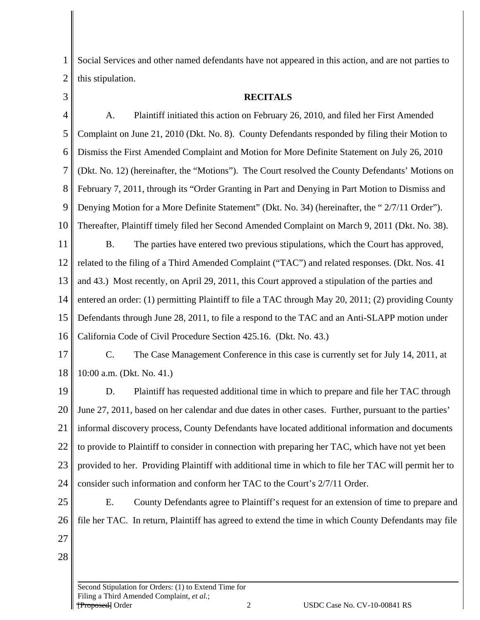1 2 Social Services and other named defendants have not appeared in this action, and are not parties to this stipulation.

3

## **RECITALS**

4 5 6 7 8 9 10 11 12 13 14 15 16 A. Plaintiff initiated this action on February 26, 2010, and filed her First Amended Complaint on June 21, 2010 (Dkt. No. 8). County Defendants responded by filing their Motion to Dismiss the First Amended Complaint and Motion for More Definite Statement on July 26, 2010 (Dkt. No. 12) (hereinafter, the "Motions"). The Court resolved the County Defendants' Motions on February 7, 2011, through its "Order Granting in Part and Denying in Part Motion to Dismiss and Denying Motion for a More Definite Statement" (Dkt. No. 34) (hereinafter, the " 2/7/11 Order"). Thereafter, Plaintiff timely filed her Second Amended Complaint on March 9, 2011 (Dkt. No. 38). B. The parties have entered two previous stipulations, which the Court has approved, related to the filing of a Third Amended Complaint ("TAC") and related responses. (Dkt. Nos. 41 and 43.) Most recently, on April 29, 2011, this Court approved a stipulation of the parties and entered an order: (1) permitting Plaintiff to file a TAC through May 20, 2011; (2) providing County Defendants through June 28, 2011, to file a respond to the TAC and an Anti-SLAPP motion under California Code of Civil Procedure Section 425.16. (Dkt. No. 43.)

17 18 C. The Case Management Conference in this case is currently set for July 14, 2011, at 10:00 a.m. (Dkt. No. 41.)

19 20 21 22 23 24 D. Plaintiff has requested additional time in which to prepare and file her TAC through June 27, 2011, based on her calendar and due dates in other cases. Further, pursuant to the parties' informal discovery process, County Defendants have located additional information and documents to provide to Plaintiff to consider in connection with preparing her TAC, which have not yet been provided to her. Providing Plaintiff with additional time in which to file her TAC will permit her to consider such information and conform her TAC to the Court's 2/7/11 Order.

- 25 26 E. County Defendants agree to Plaintiff's request for an extension of time to prepare and file her TAC. In return, Plaintiff has agreed to extend the time in which County Defendants may file
- 27
- 28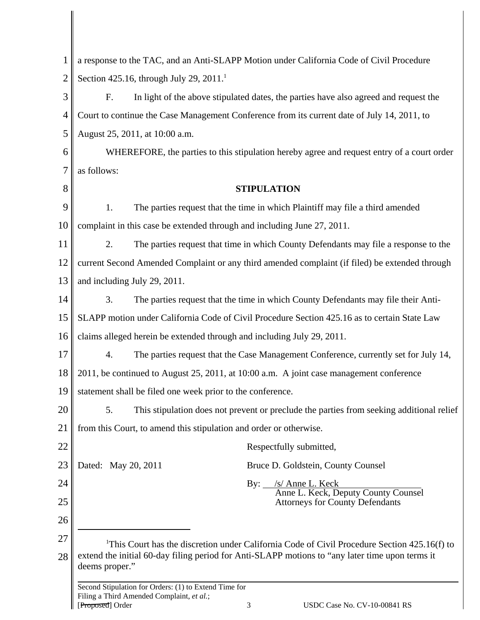| 1              | a response to the TAC, and an Anti-SLAPP Motion under California Code of Civil Procedure                                                                                                                                      |  |  |  |  |
|----------------|-------------------------------------------------------------------------------------------------------------------------------------------------------------------------------------------------------------------------------|--|--|--|--|
| $\overline{2}$ | Section 425.16, through July 29, 2011. <sup>1</sup>                                                                                                                                                                           |  |  |  |  |
| 3              | F.<br>In light of the above stipulated dates, the parties have also agreed and request the                                                                                                                                    |  |  |  |  |
| $\overline{4}$ | Court to continue the Case Management Conference from its current date of July 14, 2011, to                                                                                                                                   |  |  |  |  |
| 5              | August 25, 2011, at 10:00 a.m.                                                                                                                                                                                                |  |  |  |  |
| 6              | WHEREFORE, the parties to this stipulation hereby agree and request entry of a court order                                                                                                                                    |  |  |  |  |
| 7              | as follows:                                                                                                                                                                                                                   |  |  |  |  |
| 8              | <b>STIPULATION</b>                                                                                                                                                                                                            |  |  |  |  |
| 9              | 1.<br>The parties request that the time in which Plaintiff may file a third amended                                                                                                                                           |  |  |  |  |
| 10             | complaint in this case be extended through and including June 27, 2011.                                                                                                                                                       |  |  |  |  |
| 11             | 2.<br>The parties request that time in which County Defendants may file a response to the                                                                                                                                     |  |  |  |  |
| 12             | current Second Amended Complaint or any third amended complaint (if filed) be extended through                                                                                                                                |  |  |  |  |
| 13             | and including July 29, 2011.                                                                                                                                                                                                  |  |  |  |  |
| 14             | 3.<br>The parties request that the time in which County Defendants may file their Anti-                                                                                                                                       |  |  |  |  |
| 15             | SLAPP motion under California Code of Civil Procedure Section 425.16 as to certain State Law                                                                                                                                  |  |  |  |  |
| 16             | claims alleged herein be extended through and including July 29, 2011.                                                                                                                                                        |  |  |  |  |
| 17             | The parties request that the Case Management Conference, currently set for July 14,<br>4.                                                                                                                                     |  |  |  |  |
| 18             | 2011, be continued to August 25, 2011, at 10:00 a.m. A joint case management conference                                                                                                                                       |  |  |  |  |
| 19             | statement shall be filed one week prior to the conference.                                                                                                                                                                    |  |  |  |  |
| 20             | 5.<br>This stipulation does not prevent or preclude the parties from seeking additional relief                                                                                                                                |  |  |  |  |
| 21             | from this Court, to amend this stipulation and order or otherwise.                                                                                                                                                            |  |  |  |  |
| 22             | Respectfully submitted,                                                                                                                                                                                                       |  |  |  |  |
| 23             | Dated: May 20, 2011<br>Bruce D. Goldstein, County Counsel                                                                                                                                                                     |  |  |  |  |
| 24             | By: <u>/s/ Anne L. Keck</u><br>Anne L. Keck, Deputy County Counsel                                                                                                                                                            |  |  |  |  |
| 25             | <b>Attorneys for County Defendants</b>                                                                                                                                                                                        |  |  |  |  |
| 26             |                                                                                                                                                                                                                               |  |  |  |  |
| 27<br>28       | <sup>1</sup> This Court has the discretion under California Code of Civil Procedure Section 425.16(f) to<br>extend the initial 60-day filing period for Anti-SLAPP motions to "any later time upon terms it<br>deems proper." |  |  |  |  |
|                | Second Stipulation for Orders: (1) to Extend Time for<br>Filing a Third Amended Complaint, et al.;                                                                                                                            |  |  |  |  |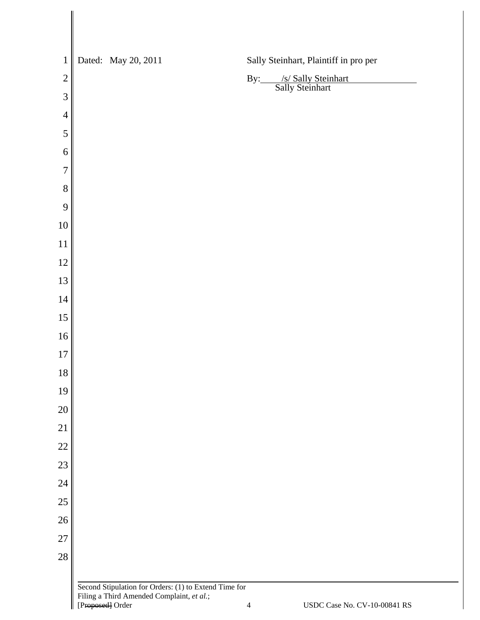| $\mathbf 1$    |                  | Dated: May 20, 2011                                                                                |                | Sally Steinhart, Plaintiff in pro per      |
|----------------|------------------|----------------------------------------------------------------------------------------------------|----------------|--------------------------------------------|
| $\overline{c}$ |                  |                                                                                                    |                | By: /s/ Sally Steinhart<br>Sally Steinhart |
| $\mathfrak{Z}$ |                  |                                                                                                    |                |                                            |
| $\overline{4}$ |                  |                                                                                                    |                |                                            |
| 5              |                  |                                                                                                    |                |                                            |
| 6              |                  |                                                                                                    |                |                                            |
| $\overline{7}$ |                  |                                                                                                    |                |                                            |
| 8              |                  |                                                                                                    |                |                                            |
| 9              |                  |                                                                                                    |                |                                            |
| 10             |                  |                                                                                                    |                |                                            |
| 11             |                  |                                                                                                    |                |                                            |
| 12             |                  |                                                                                                    |                |                                            |
| 13             |                  |                                                                                                    |                |                                            |
| 14             |                  |                                                                                                    |                |                                            |
| 15             |                  |                                                                                                    |                |                                            |
| 16             |                  |                                                                                                    |                |                                            |
| 17             |                  |                                                                                                    |                |                                            |
| 18             |                  |                                                                                                    |                |                                            |
| 19             |                  |                                                                                                    |                |                                            |
| 20             |                  |                                                                                                    |                |                                            |
| 21             |                  |                                                                                                    |                |                                            |
| 22             |                  |                                                                                                    |                |                                            |
| 23             |                  |                                                                                                    |                |                                            |
| 24             |                  |                                                                                                    |                |                                            |
| 25             |                  |                                                                                                    |                |                                            |
| $26\,$         |                  |                                                                                                    |                |                                            |
| $27\,$         |                  |                                                                                                    |                |                                            |
| 28             |                  |                                                                                                    |                |                                            |
|                |                  |                                                                                                    |                |                                            |
|                |                  | Second Stipulation for Orders: (1) to Extend Time for<br>Filing a Third Amended Complaint, et al.; |                |                                            |
|                | [Proposed] Order |                                                                                                    | $\overline{4}$ | USDC Case No. CV-10-00841 RS               |